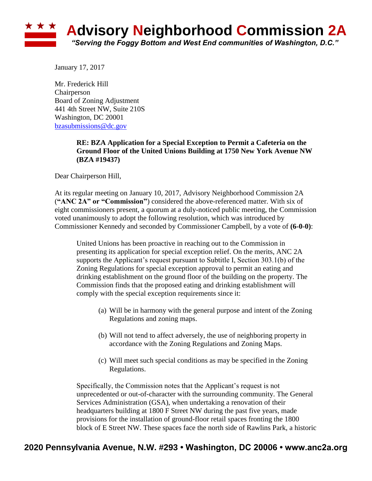

January 17, 2017

Mr. Frederick Hill Chairperson Board of Zoning Adjustment 441 4th Street NW, Suite 210S Washington, DC 20001 [bzasubmissions@dc.gov](mailto:bzasubmissions@dc.gov)

## **RE: BZA Application for a Special Exception to Permit a Cafeteria on the Ground Floor of the United Unions Building at 1750 New York Avenue NW (BZA #19437)**

Dear Chairperson Hill,

At its regular meeting on January 10, 2017, Advisory Neighborhood Commission 2A (**"ANC 2A" or "Commission"**) considered the above-referenced matter. With six of eight commissioners present, a quorum at a duly-noticed public meeting, the Commission voted unanimously to adopt the following resolution, which was introduced by Commissioner Kennedy and seconded by Commissioner Campbell, by a vote of **(6-0-0)**:

United Unions has been proactive in reaching out to the Commission in presenting its application for special exception relief. On the merits, ANC 2A supports the Applicant's request pursuant to Subtitle I, Section 303.1(b) of the Zoning Regulations for special exception approval to permit an eating and drinking establishment on the ground floor of the building on the property. The Commission finds that the proposed eating and drinking establishment will comply with the special exception requirements since it:

- (a) Will be in harmony with the general purpose and intent of the Zoning Regulations and zoning maps.
- (b) Will not tend to affect adversely, the use of neighboring property in accordance with the Zoning Regulations and Zoning Maps.
- (c) Will meet such special conditions as may be specified in the Zoning Regulations.

Specifically, the Commission notes that the Applicant's request is not unprecedented or out-of-character with the surrounding community. The General Services Administration (GSA), when undertaking a renovation of their headquarters building at 1800 F Street NW during the past five years, made provisions for the installation of ground-floor retail spaces fronting the 1800 block of E Street NW. These spaces face the north side of Rawlins Park, a historic

## **2020 Pennsylvania Avenue, N.W. #293 • Washington, DC 20006 • www.anc2a.org**